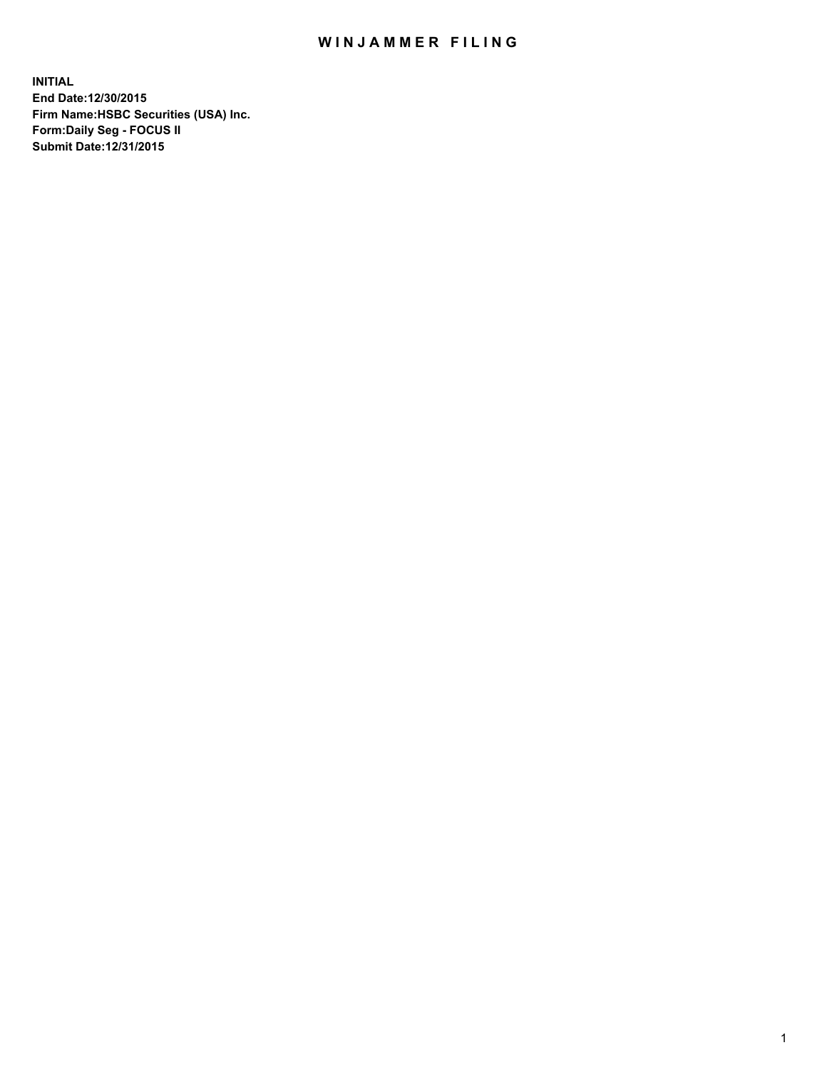## WIN JAMMER FILING

**INITIAL End Date:12/30/2015 Firm Name:HSBC Securities (USA) Inc. Form:Daily Seg - FOCUS II Submit Date:12/31/2015**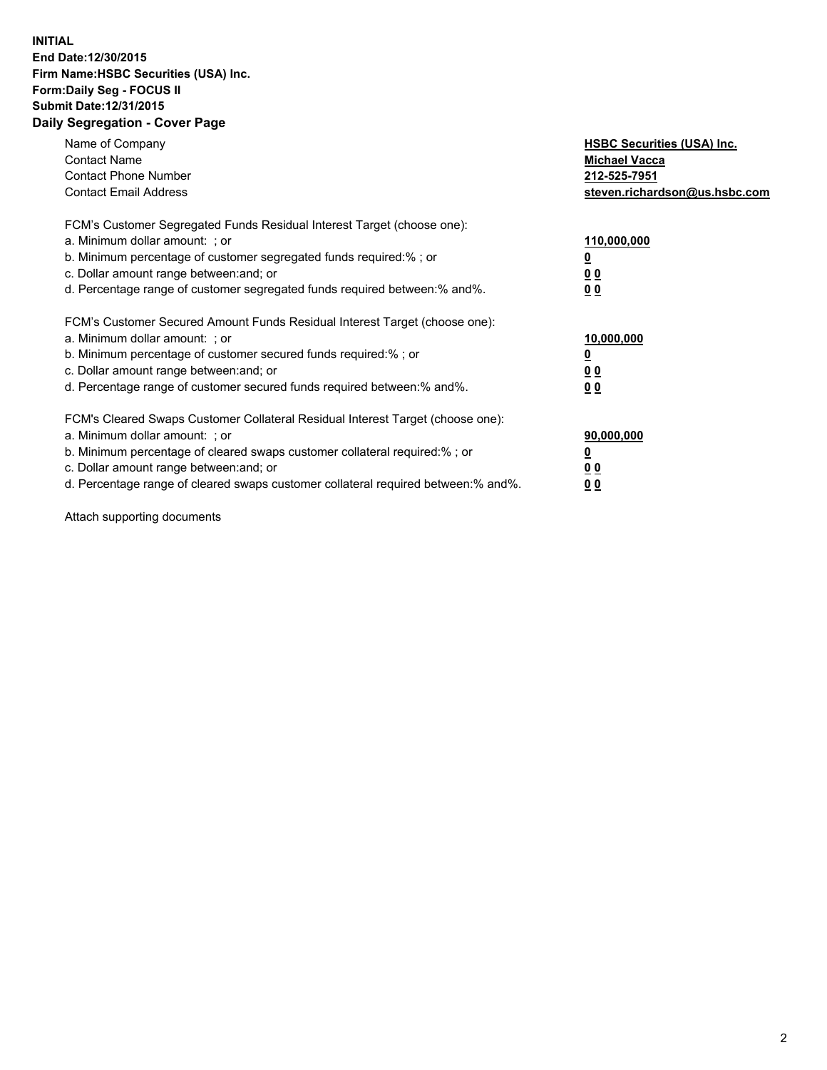## **INITIAL End Date:12/30/2015 Firm Name:HSBC Securities (USA) Inc. Form:Daily Seg - FOCUS II Submit Date:12/31/2015 Daily Segregation - Cover Page**

| Name of Company<br><b>Contact Name</b><br><b>Contact Phone Number</b><br><b>Contact Email Address</b>                                                                                                                                                                                                                          | <b>HSBC Securities (USA) Inc.</b><br><b>Michael Vacca</b><br>212-525-7951<br>steven.richardson@us.hsbc.com |
|--------------------------------------------------------------------------------------------------------------------------------------------------------------------------------------------------------------------------------------------------------------------------------------------------------------------------------|------------------------------------------------------------------------------------------------------------|
| FCM's Customer Segregated Funds Residual Interest Target (choose one):<br>a. Minimum dollar amount: ; or<br>b. Minimum percentage of customer segregated funds required:%; or<br>c. Dollar amount range between: and; or<br>d. Percentage range of customer segregated funds required between: % and %.                        | 110,000,000<br><u>0</u><br>0 <sub>0</sub><br>0 <sub>0</sub>                                                |
| FCM's Customer Secured Amount Funds Residual Interest Target (choose one):<br>a. Minimum dollar amount: ; or<br>b. Minimum percentage of customer secured funds required:%; or<br>c. Dollar amount range between: and; or<br>d. Percentage range of customer secured funds required between:% and%.                            | 10,000,000<br>0 <sub>0</sub><br>00                                                                         |
| FCM's Cleared Swaps Customer Collateral Residual Interest Target (choose one):<br>a. Minimum dollar amount: ; or<br>b. Minimum percentage of cleared swaps customer collateral required:% ; or<br>c. Dollar amount range between: and; or<br>d. Percentage range of cleared swaps customer collateral required between:% and%. | 90,000,000<br><u>00</u><br>0 <sub>0</sub>                                                                  |

Attach supporting documents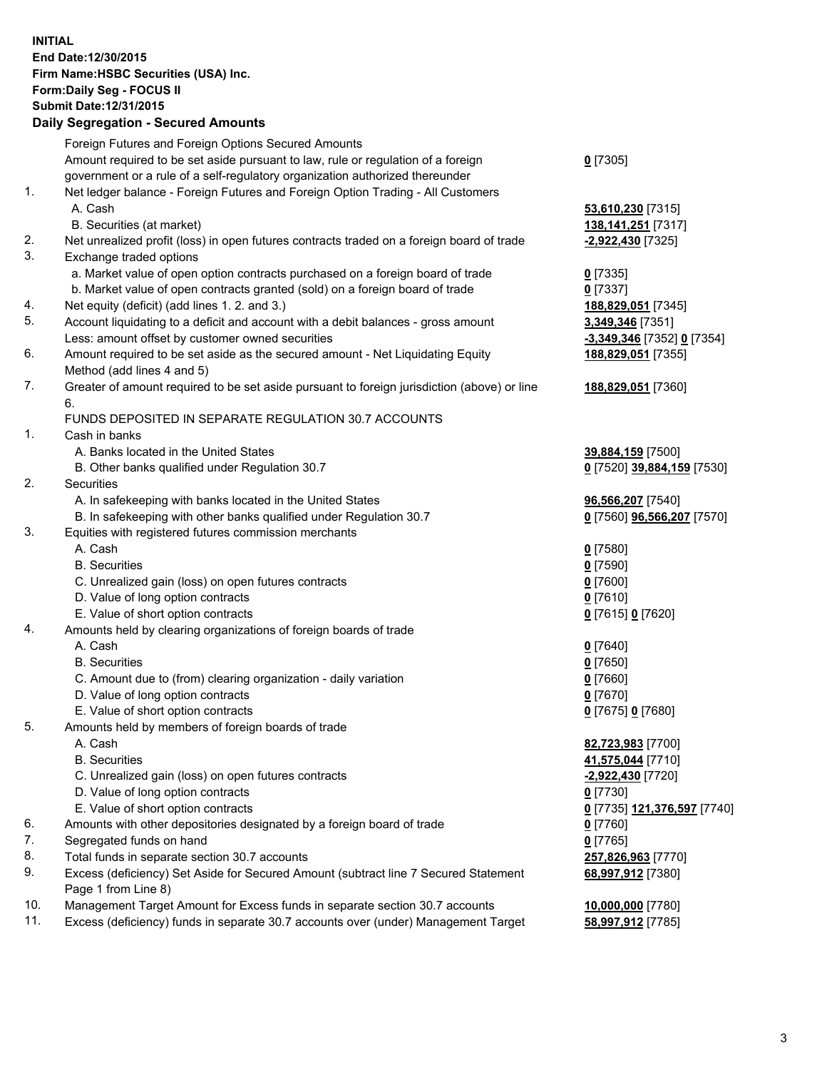**INITIAL End Date:12/30/2015 Firm Name:HSBC Securities (USA) Inc. Form:Daily Seg - FOCUS II Submit Date:12/31/2015 Daily Segregation - Secured Amounts**

## Foreign Futures and Foreign Options Secured Amounts Amount required to be set aside pursuant to law, rule or regulation of a foreign government or a rule of a self-regulatory organization authorized thereunder **0** [7305] 1. Net ledger balance - Foreign Futures and Foreign Option Trading - All Customers A. Cash **53,610,230** [7315] B. Securities (at market) **138,141,251** [7317] 2. Net unrealized profit (loss) in open futures contracts traded on a foreign board of trade **-2,922,430** [7325] 3. Exchange traded options a. Market value of open option contracts purchased on a foreign board of trade **0** [7335] b. Market value of open contracts granted (sold) on a foreign board of trade **0** [7337] 4. Net equity (deficit) (add lines 1. 2. and 3.) **188,829,051** [7345] 5. Account liquidating to a deficit and account with a debit balances - gross amount **3,349,346** [7351] Less: amount offset by customer owned securities **-3,349,346** [7352] **0** [7354] 6. Amount required to be set aside as the secured amount - Net Liquidating Equity Method (add lines 4 and 5) **188,829,051** [7355] 7. Greater of amount required to be set aside pursuant to foreign jurisdiction (above) or line 6. **188,829,051** [7360] FUNDS DEPOSITED IN SEPARATE REGULATION 30.7 ACCOUNTS 1. Cash in banks A. Banks located in the United States **39,884,159** [7500] B. Other banks qualified under Regulation 30.7 **0** [7520] **39,884,159** [7530] 2. Securities A. In safekeeping with banks located in the United States **96,566,207** [7540] B. In safekeeping with other banks qualified under Regulation 30.7 **0** [7560] **96,566,207** [7570] 3. Equities with registered futures commission merchants A. Cash **0** [7580] B. Securities **0** [7590] C. Unrealized gain (loss) on open futures contracts **0** [7600] D. Value of long option contracts **0** [7610] E. Value of short option contracts **0** [7615] **0** [7620] 4. Amounts held by clearing organizations of foreign boards of trade A. Cash **0** [7640] B. Securities **0** [7650] C. Amount due to (from) clearing organization - daily variation **0** [7660] D. Value of long option contracts **0** [7670] E. Value of short option contracts **0** [7675] **0** [7680] 5. Amounts held by members of foreign boards of trade A. Cash **82,723,983** [7700] B. Securities **41,575,044** [7710]

- C. Unrealized gain (loss) on open futures contracts **-2,922,430** [7720]
- D. Value of long option contracts **0** [7730]
- E. Value of short option contracts **0** [7735] **121,376,597** [7740]
- 6. Amounts with other depositories designated by a foreign board of trade **0** [7760]
- 7. Segregated funds on hand **0** [7765]
- 8. Total funds in separate section 30.7 accounts **257,826,963** [7770]
- 9. Excess (deficiency) Set Aside for Secured Amount (subtract line 7 Secured Statement Page 1 from Line 8)
- 10. Management Target Amount for Excess funds in separate section 30.7 accounts **10,000,000** [7780]
- 11. Excess (deficiency) funds in separate 30.7 accounts over (under) Management Target **58,997,912** [7785]

**68,997,912** [7380]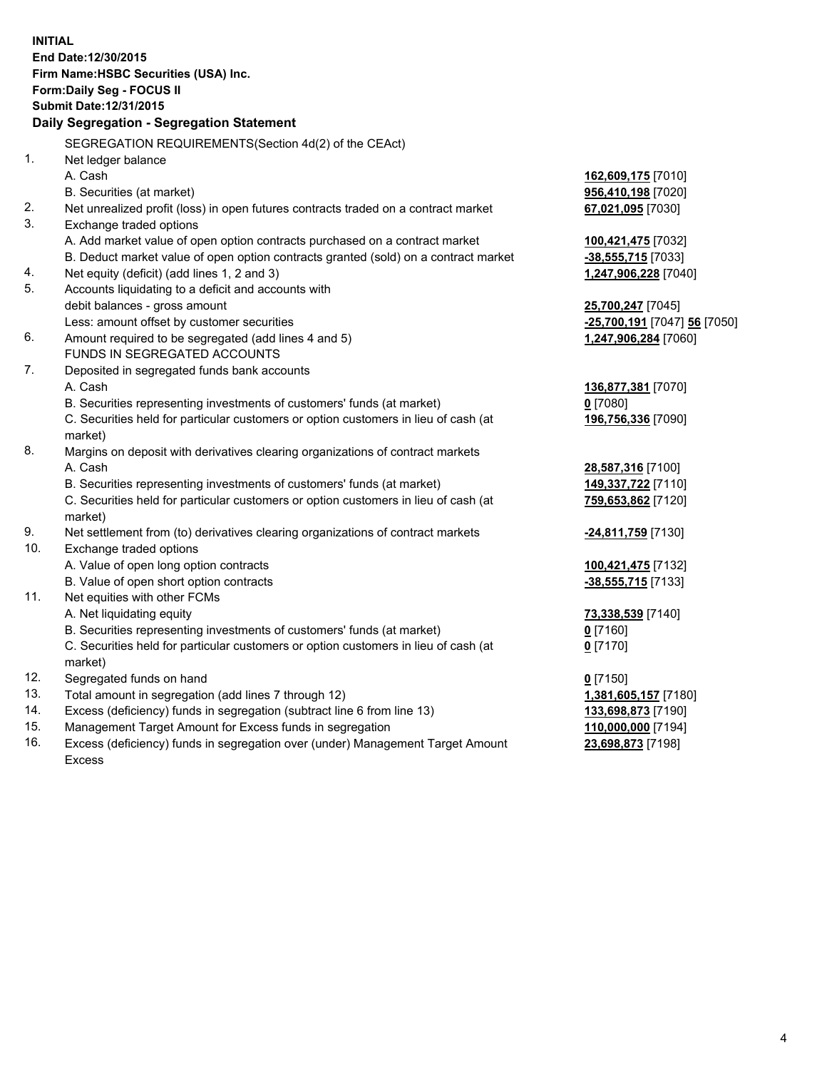|     | <b>INITIAL</b><br>End Date:12/30/2015<br>Firm Name: HSBC Securities (USA) Inc.<br>Form: Daily Seg - FOCUS II |                              |
|-----|--------------------------------------------------------------------------------------------------------------|------------------------------|
|     | Submit Date: 12/31/2015                                                                                      |                              |
|     | Daily Segregation - Segregation Statement                                                                    |                              |
|     | SEGREGATION REQUIREMENTS(Section 4d(2) of the CEAct)                                                         |                              |
| 1.  | Net ledger balance                                                                                           |                              |
|     | A. Cash                                                                                                      | 162,609,175 [7010]           |
|     | B. Securities (at market)                                                                                    | 956,410,198 [7020]           |
| 2.  | Net unrealized profit (loss) in open futures contracts traded on a contract market                           | 67,021,095 [7030]            |
| 3.  | Exchange traded options                                                                                      |                              |
|     | A. Add market value of open option contracts purchased on a contract market                                  | 100,421,475 [7032]           |
|     | B. Deduct market value of open option contracts granted (sold) on a contract market                          | -38,555,715 [7033]           |
| 4.  | Net equity (deficit) (add lines 1, 2 and 3)                                                                  | 1,247,906,228 [7040]         |
| 5.  | Accounts liquidating to a deficit and accounts with                                                          |                              |
|     | debit balances - gross amount                                                                                | 25,700,247 [7045]            |
|     | Less: amount offset by customer securities                                                                   | -25,700,191 [7047] 56 [7050] |
| 6.  | Amount required to be segregated (add lines 4 and 5)                                                         | 1,247,906,284 [7060]         |
|     | FUNDS IN SEGREGATED ACCOUNTS                                                                                 |                              |
| 7.  | Deposited in segregated funds bank accounts                                                                  |                              |
|     | A. Cash                                                                                                      | 136,877,381 [7070]           |
|     | B. Securities representing investments of customers' funds (at market)                                       | $0$ [7080]                   |
|     | C. Securities held for particular customers or option customers in lieu of cash (at<br>market)               | 196,756,336 [7090]           |
| 8.  | Margins on deposit with derivatives clearing organizations of contract markets                               |                              |
|     | A. Cash                                                                                                      | 28,587,316 [7100]            |
|     | B. Securities representing investments of customers' funds (at market)                                       | 149,337,722 [7110]           |
|     | C. Securities held for particular customers or option customers in lieu of cash (at<br>market)               | 759,653,862 [7120]           |
| 9.  | Net settlement from (to) derivatives clearing organizations of contract markets                              | -24,811,759 [7130]           |
| 10. | Exchange traded options                                                                                      |                              |
|     | A. Value of open long option contracts                                                                       | 100,421,475 [7132]           |
|     | B. Value of open short option contracts                                                                      | -38,555,715 [7133]           |
| 11. | Net equities with other FCMs                                                                                 |                              |
|     | A. Net liquidating equity                                                                                    | 73,338,539 [7140]            |
|     | B. Securities representing investments of customers' funds (at market)                                       | $0$ [7160]                   |
|     | C. Securities held for particular customers or option customers in lieu of cash (at                          | $0$ [7170]                   |
|     | market)                                                                                                      |                              |
| 12. | Segregated funds on hand                                                                                     | $0$ [7150]                   |
| 13. | Total amount in segregation (add lines 7 through 12)                                                         | 1,381,605,157 [7180]         |
| 14. | Excess (deficiency) funds in segregation (subtract line 6 from line 13)                                      | 133,698,873 [7190]           |
| 15. | Management Target Amount for Excess funds in segregation                                                     | 110,000,000 [7194]           |
| 16. | Excess (deficiency) funds in segregation over (under) Management Target Amount                               | 23,698,873 [7198]            |

Excess